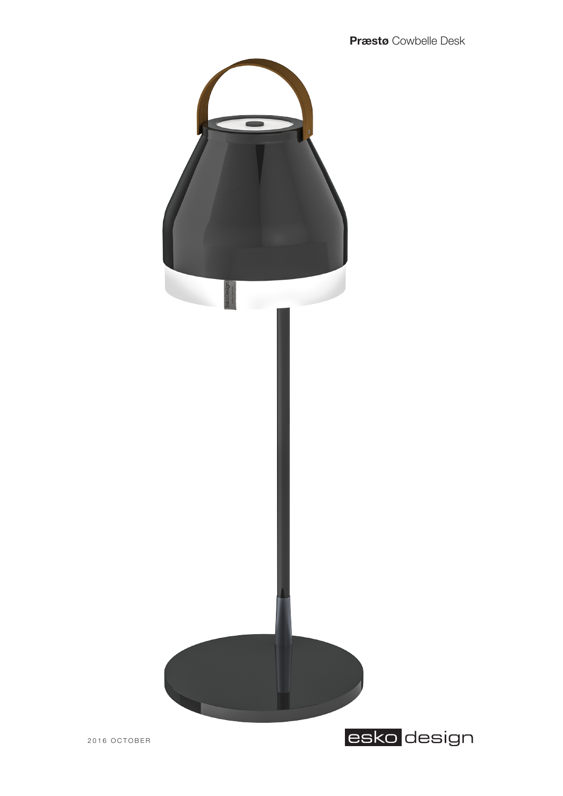

**Præstø** Cowbelle Desk